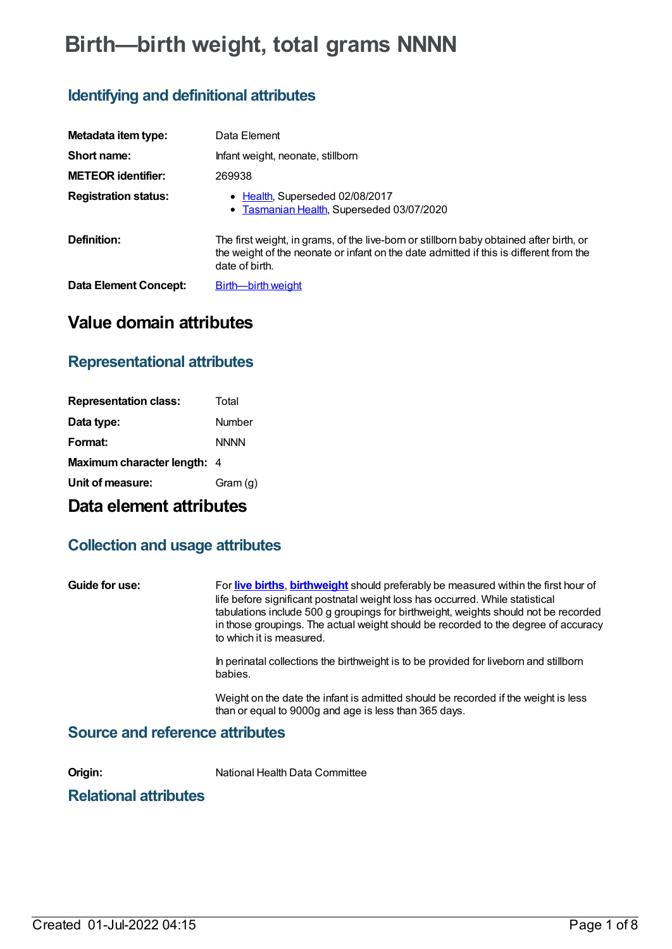# **Birth—birth weight, total grams NNNN**

# **Identifying and definitional attributes**

| Metadata item type:          | Data Element                                                                                                                                                                                        |
|------------------------------|-----------------------------------------------------------------------------------------------------------------------------------------------------------------------------------------------------|
| Short name:                  | Infant weight, neonate, stillborn                                                                                                                                                                   |
| <b>METEOR identifier:</b>    | 269938                                                                                                                                                                                              |
| <b>Registration status:</b>  | • Health, Superseded 02/08/2017<br>• Tasmanian Health, Superseded 03/07/2020                                                                                                                        |
| Definition:                  | The first weight, in grams, of the live-born or stillborn baby obtained after birth, or<br>the weight of the neonate or infant on the date admitted if this is different from the<br>date of birth. |
| <b>Data Element Concept:</b> | Birth--birth weight                                                                                                                                                                                 |

## **Value domain attributes**

### **Representational attributes**

| <b>Representation class:</b> | Total       |
|------------------------------|-------------|
| Data type:                   | Number      |
| Format:                      | <b>NNNN</b> |
| Maximum character length: 4  |             |
| Unit of measure:             | Gram (g)    |

# **Data element attributes**

### **Collection and usage attributes**

| Guide for use:                         | For live births, birthweight should preferably be measured within the first hour of<br>life before significant postnatal weight loss has occurred. While statistical<br>tabulations include 500 g groupings for birthweight, weights should not be recorded<br>in those groupings. The actual weight should be recorded to the degree of accuracy<br>to which it is measured. |
|----------------------------------------|-------------------------------------------------------------------------------------------------------------------------------------------------------------------------------------------------------------------------------------------------------------------------------------------------------------------------------------------------------------------------------|
|                                        | In perinatal collections the birthweight is to be provided for liveborn and stillborn<br>babies.                                                                                                                                                                                                                                                                              |
|                                        | Weight on the date the infant is admitted should be recorded if the weight is less<br>than or equal to 9000g and age is less than 365 days.                                                                                                                                                                                                                                   |
| <b>Source and reference attributes</b> |                                                                                                                                                                                                                                                                                                                                                                               |

**Origin:** National Health Data Committee

### **Relational attributes**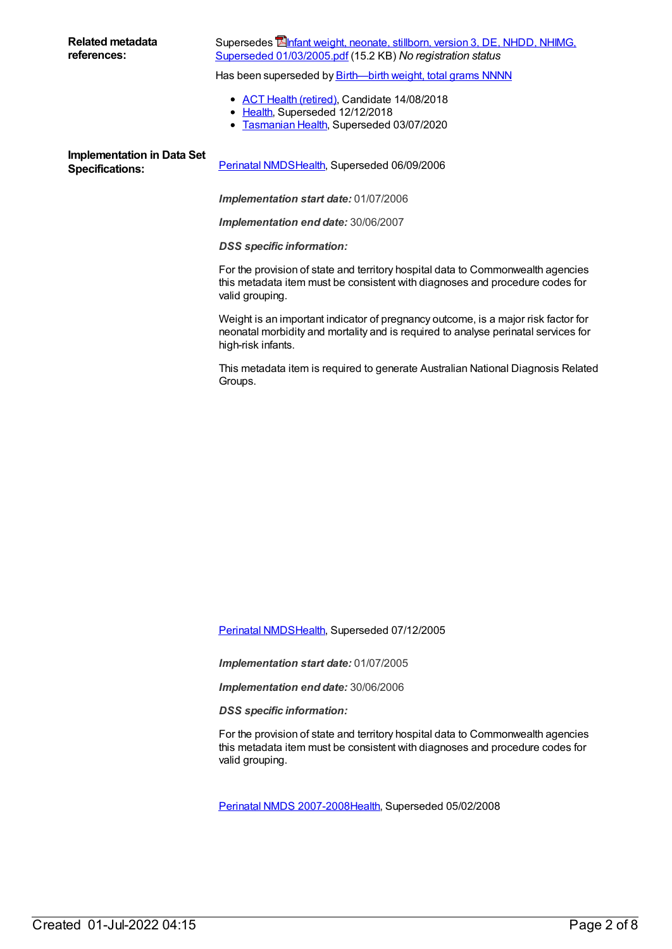#### Supersedes **Ennight**, neonate, stillborn, version 3, DE, NHDD, NHIMG, Superseded [01/03/2005.pdf](https://meteor.aihw.gov.au/content/284753) (15.2 KB) *No registration status*

Has been superseded by **[Birth—birth](https://meteor.aihw.gov.au/content/668986) weight, total grams NNNN** 

- ACT Health [\(retired\)](https://meteor.aihw.gov.au/RegistrationAuthority/9), Candidate 14/08/2018
- [Health](https://meteor.aihw.gov.au/RegistrationAuthority/12), Superseded 12/12/2018  $\bullet$
- **[Tasmanian](https://meteor.aihw.gov.au/RegistrationAuthority/15) Health, Superseded 03/07/2020**

**Implementation in Data Set**

Specifications: [Perinatal](https://meteor.aihw.gov.au/content/290828) NMDS[Health](https://meteor.aihw.gov.au/RegistrationAuthority/12), Superseded 06/09/2006

*Implementation start date:* 01/07/2006

*Implementation end date:* 30/06/2007

*DSS specific information:*

For the provision of state and territory hospital data to Commonwealth agencies this metadata item must be consistent with diagnoses and procedure codes for valid grouping.

Weight is an important indicator of pregnancy outcome, is a major risk factor for neonatal morbidity and mortality and is required to analyse perinatal services for high-risk infants.

This metadata item is required to generate Australian National Diagnosis Related Groups.

[Perinatal](https://meteor.aihw.gov.au/content/273043) NMDS[Health](https://meteor.aihw.gov.au/RegistrationAuthority/12), Superseded 07/12/2005

*Implementation start date:* 01/07/2005

*Implementation end date:* 30/06/2006

*DSS specific information:*

For the provision of state and territory hospital data to Commonwealth agencies this metadata item must be consistent with diagnoses and procedure codes for valid grouping.

Perinatal NMDS [2007-2008](https://meteor.aihw.gov.au/content/340684)[Health,](https://meteor.aihw.gov.au/RegistrationAuthority/12) Superseded 05/02/2008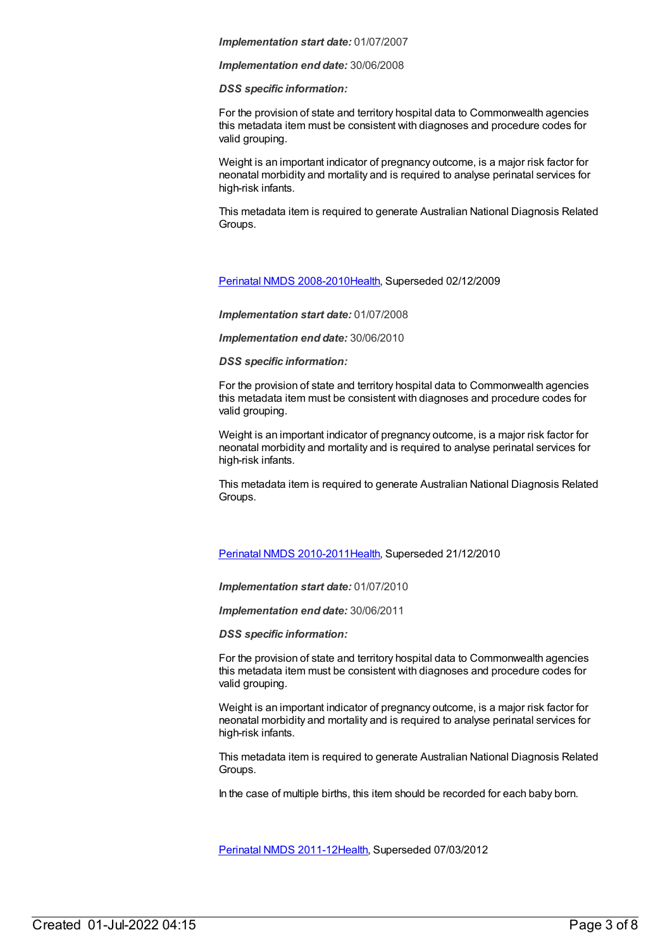#### *Implementation end date:* 30/06/2008

#### *DSS specific information:*

For the provision of state and territory hospital data to Commonwealth agencies this metadata item must be consistent with diagnoses and procedure codes for valid grouping.

Weight is an important indicator of pregnancy outcome, is a major risk factor for neonatal morbidity and mortality and is required to analyse perinatal services for high-risk infants.

This metadata item is required to generate Australian National Diagnosis Related Groups.

#### Perinatal NMDS [2008-2010](https://meteor.aihw.gov.au/content/362313)[Health,](https://meteor.aihw.gov.au/RegistrationAuthority/12) Superseded 02/12/2009

#### *Implementation start date:* 01/07/2008

#### *Implementation end date:* 30/06/2010

#### *DSS specific information:*

For the provision of state and territory hospital data to Commonwealth agencies this metadata item must be consistent with diagnoses and procedure codes for valid grouping.

Weight is an important indicator of pregnancy outcome, is a major risk factor for neonatal morbidity and mortality and is required to analyse perinatal services for high-risk infants.

This metadata item is required to generate Australian National Diagnosis Related Groups.

#### Perinatal NMDS [2010-2011](https://meteor.aihw.gov.au/content/363256)[Health,](https://meteor.aihw.gov.au/RegistrationAuthority/12) Superseded 21/12/2010

#### *Implementation start date:* 01/07/2010

*Implementation end date:* 30/06/2011

*DSS specific information:*

For the provision of state and territory hospital data to Commonwealth agencies this metadata item must be consistent with diagnoses and procedure codes for valid grouping.

Weight is an important indicator of pregnancy outcome, is a major risk factor for neonatal morbidity and mortality and is required to analyse perinatal services for high-risk infants.

This metadata item is required to generate Australian National Diagnosis Related Groups.

In the case of multiple births, this item should be recorded for each baby born.

[Perinatal](https://meteor.aihw.gov.au/content/426735) NMDS 2011-1[2Health](https://meteor.aihw.gov.au/RegistrationAuthority/12), Superseded 07/03/2012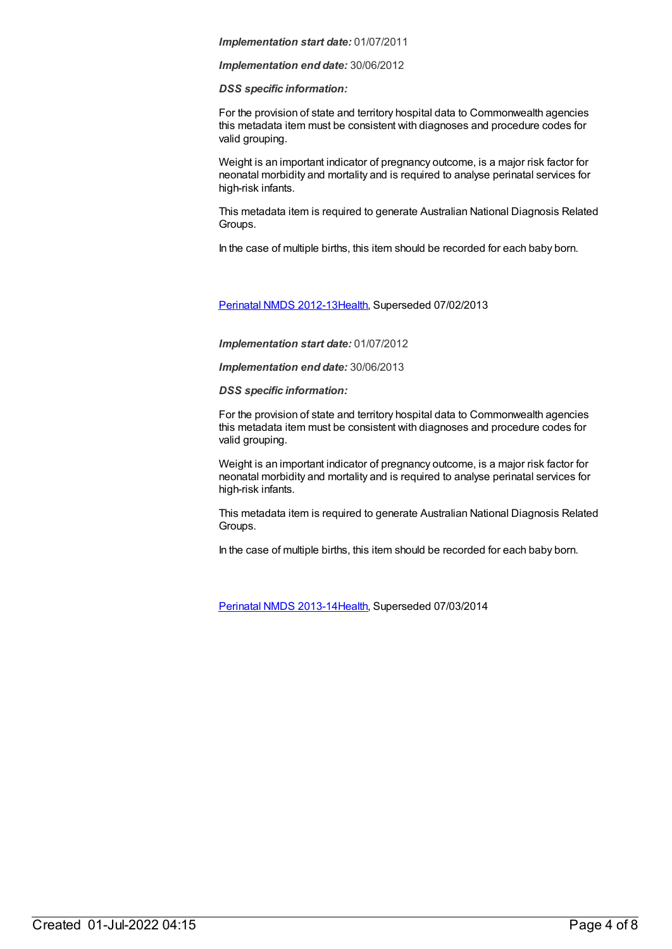*Implementation end date:* 30/06/2012

#### *DSS specific information:*

For the provision of state and territory hospital data to Commonwealth agencies this metadata item must be consistent with diagnoses and procedure codes for valid grouping.

Weight is an important indicator of pregnancy outcome, is a major risk factor for neonatal morbidity and mortality and is required to analyse perinatal services for high-risk infants.

This metadata item is required to generate Australian National Diagnosis Related Groups.

In the case of multiple births, this item should be recorded for each baby born.

[Perinatal](https://meteor.aihw.gov.au/content/461787) NMDS 2012-1[3Health](https://meteor.aihw.gov.au/RegistrationAuthority/12), Superseded 07/02/2013

*Implementation start date:* 01/07/2012

*Implementation end date:* 30/06/2013

*DSS specific information:*

For the provision of state and territory hospital data to Commonwealth agencies this metadata item must be consistent with diagnoses and procedure codes for valid grouping.

Weight is an important indicator of pregnancy outcome, is a major risk factor for neonatal morbidity and mortality and is required to analyse perinatal services for high-risk infants.

This metadata item is required to generate Australian National Diagnosis Related Groups.

In the case of multiple births, this item should be recorded for each baby born.

[Perinatal](https://meteor.aihw.gov.au/content/489433) NMDS 2013-1[4Health](https://meteor.aihw.gov.au/RegistrationAuthority/12), Superseded 07/03/2014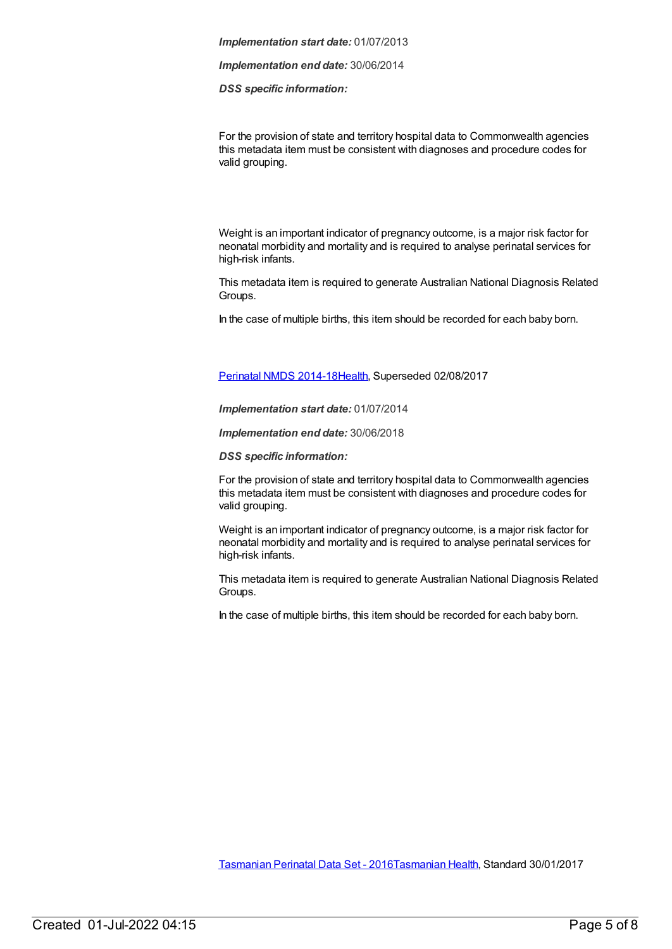*Implementation end date:* 30/06/2014

*DSS specific information:*

For the provision of state and territory hospital data to Commonwealth agencies this metadata item must be consistent with diagnoses and procedure codes for valid grouping.

Weight is an important indicator of pregnancy outcome, is a major risk factor for neonatal morbidity and mortality and is required to analyse perinatal services for high-risk infants.

This metadata item is required to generate Australian National Diagnosis Related Groups.

In the case of multiple births, this item should be recorded for each baby born.

#### [Perinatal](https://meteor.aihw.gov.au/content/517456) NMDS 2014-1[8Health](https://meteor.aihw.gov.au/RegistrationAuthority/12), Superseded 02/08/2017

*Implementation start date:* 01/07/2014

*Implementation end date:* 30/06/2018

*DSS specific information:*

For the provision of state and territory hospital data to Commonwealth agencies this metadata item must be consistent with diagnoses and procedure codes for valid grouping.

Weight is an important indicator of pregnancy outcome, is a major risk factor for neonatal morbidity and mortality and is required to analyse perinatal services for high-risk infants.

This metadata item is required to generate Australian National Diagnosis Related Groups.

In the case of multiple births, this item should be recorded for each baby born.

[Tasmanian](https://meteor.aihw.gov.au/content/664902) Perinatal Data Set - 2016[Tasmanian](https://meteor.aihw.gov.au/RegistrationAuthority/15) Health, Standard 30/01/2017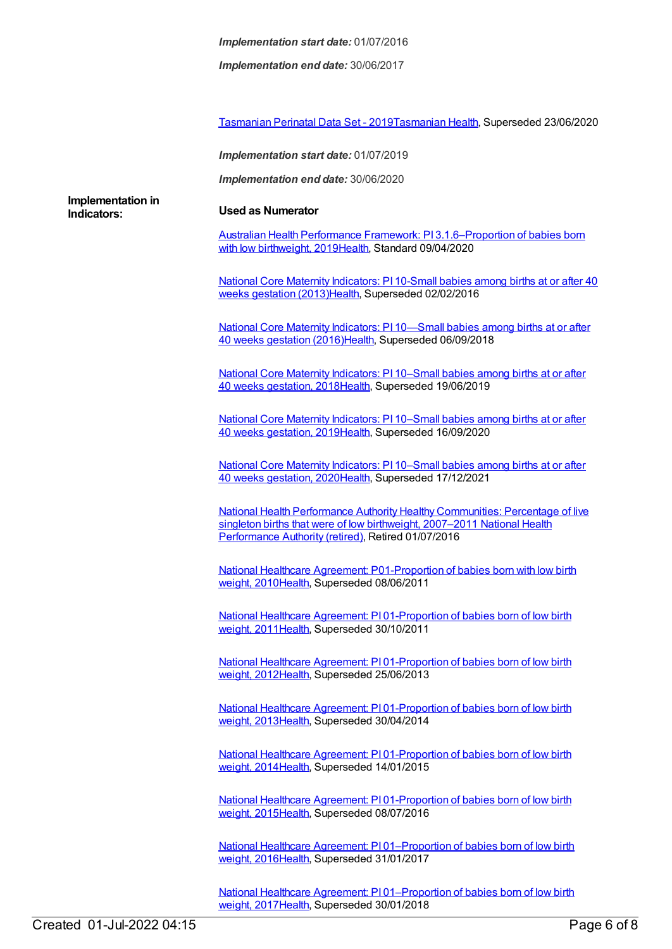*Implementation end date:* 30/06/2017

[Tasmanian](https://meteor.aihw.gov.au/content/715265) Perinatal Data Set - 2019[Tasmanian](https://meteor.aihw.gov.au/RegistrationAuthority/15) Health, Superseded 23/06/2020

*Implementation start date:* 01/07/2019

*Implementation end date:* 30/06/2020

**Implementation in Indicators: Used as Numerator**

Australian Health Performance Framework: PI [3.1.6–Proportion](https://meteor.aihw.gov.au/content/715299) of babies born with low birthweight, 201[9Health](https://meteor.aihw.gov.au/RegistrationAuthority/12), Standard 09/04/2020

National Core Maternity Indicators: PI 10-Small babies among births at or after 40 weeks gestation [\(2013\)Health,](https://meteor.aihw.gov.au/content/557097) Superseded 02/02/2016

National Core Maternity Indicators: PI 10—Small babies among births at or after 40 weeks gestation [\(2016\)Health,](https://meteor.aihw.gov.au/content/613192) Superseded 06/09/2018

National Core Maternity Indicators: PI 10–Small babies among births at or after 40 weeks gestation, 2018[Health,](https://meteor.aihw.gov.au/RegistrationAuthority/12) [Superseded](https://meteor.aihw.gov.au/content/690170) 19/06/2019

National Core Maternity Indicators: PI 10-Small babies among births at or after 40 weeks gestation, 2019[Health,](https://meteor.aihw.gov.au/RegistrationAuthority/12) [Superseded](https://meteor.aihw.gov.au/content/717546) 16/09/2020

National Core Maternity [Indicators:](https://meteor.aihw.gov.au/content/728732) PI 10–Small babies among births at or after 40 weeks gestation, 2020[Health,](https://meteor.aihw.gov.au/RegistrationAuthority/12) Superseded 17/12/2021

National Health Performance Authority Healthy [Communities:](https://meteor.aihw.gov.au/content/578021) Percentage of live singleton births that were of low birthweight, [2007–2011](https://meteor.aihw.gov.au/RegistrationAuthority/8) National Health Performance Authority (retired), Retired 01/07/2016

National Healthcare Agreement: [P01-Proportion](https://meteor.aihw.gov.au/content/392491) of babies born with low birth weight, 2010[Health,](https://meteor.aihw.gov.au/RegistrationAuthority/12) Superseded 08/06/2011

National Healthcare Agreement: PI [01-Proportion](https://meteor.aihw.gov.au/content/420072) of babies born of low birth weight, 2011[Health,](https://meteor.aihw.gov.au/RegistrationAuthority/12) Superseded 30/10/2011

National Healthcare Agreement: PI [01-Proportion](https://meteor.aihw.gov.au/content/435834) of babies born of low birth weight, 2012[Health,](https://meteor.aihw.gov.au/RegistrationAuthority/12) Superseded 25/06/2013

National Healthcare Agreement: PI [01-Proportion](https://meteor.aihw.gov.au/content/498209) of babies born of low birth weight, 2013[Health,](https://meteor.aihw.gov.au/RegistrationAuthority/12) Superseded 30/04/2014

National Healthcare Agreement: PI [01-Proportion](https://meteor.aihw.gov.au/content/517688) of babies born of low birth weight, 2014[Health,](https://meteor.aihw.gov.au/RegistrationAuthority/12) Superseded 14/01/2015

National Healthcare Agreement: PI [01-Proportion](https://meteor.aihw.gov.au/content/559066) of babies born of low birth weight, 2015[Health,](https://meteor.aihw.gov.au/RegistrationAuthority/12) Superseded 08/07/2016

National Healthcare Agreement: PI [01–Proportion](https://meteor.aihw.gov.au/content/598847) of babies born of low birth weight, 2016[Health,](https://meteor.aihw.gov.au/RegistrationAuthority/12) Superseded 31/01/2017

National Healthcare Agreement: PI [01–Proportion](https://meteor.aihw.gov.au/content/629984) of babies born of low birth weight, 2017[Health,](https://meteor.aihw.gov.au/RegistrationAuthority/12) Superseded 30/01/2018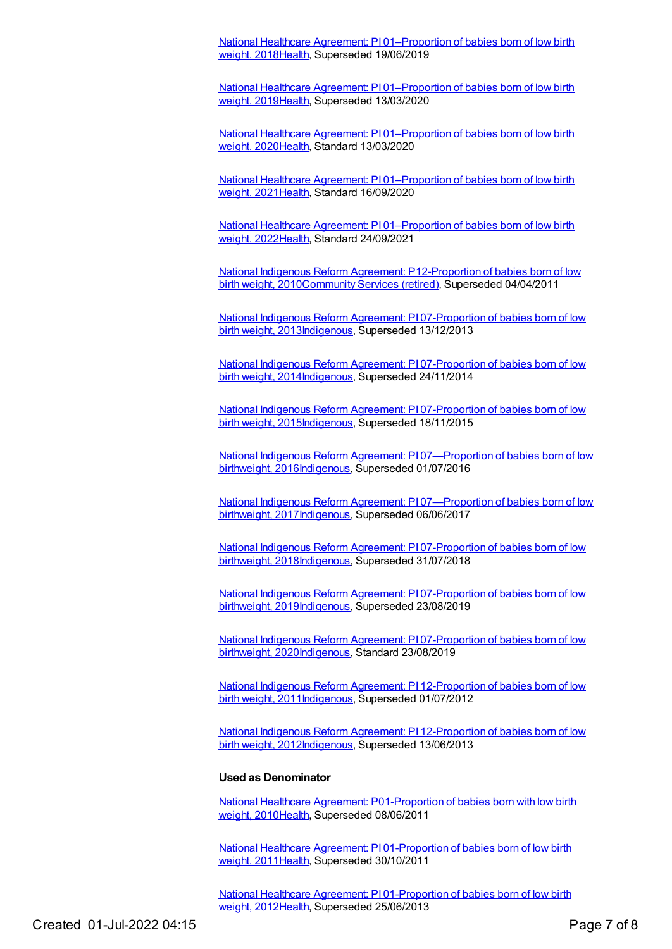National Healthcare Agreement: PI [01–Proportion](https://meteor.aihw.gov.au/content/658534) of babies born of low birth weight, 2018[Health,](https://meteor.aihw.gov.au/RegistrationAuthority/12) Superseded 19/06/2019

National Healthcare Agreement: PI [01–Proportion](https://meteor.aihw.gov.au/content/698938) of babies born of low birth weight, 2019[Health,](https://meteor.aihw.gov.au/RegistrationAuthority/12) Superseded 13/03/2020

National Healthcare Agreement: PI [01–Proportion](https://meteor.aihw.gov.au/content/716248) of babies born of low birth weight, 2020[Health,](https://meteor.aihw.gov.au/RegistrationAuthority/12) Standard 13/03/2020

National Healthcare Agreement: PI [01–Proportion](https://meteor.aihw.gov.au/content/725828) of babies born of low birth weight, 2021[Health,](https://meteor.aihw.gov.au/RegistrationAuthority/12) Standard 16/09/2020

National Healthcare Agreement: PI [01–Proportion](https://meteor.aihw.gov.au/content/740894) of babies born of low birth weight, 2022[Health,](https://meteor.aihw.gov.au/RegistrationAuthority/12) Standard 24/09/2021

National Indigenous Reform Agreement: [P12-Proportion](https://meteor.aihw.gov.au/content/396560) of babies born of low birth weight, 2010[Community](https://meteor.aihw.gov.au/RegistrationAuthority/1) Services (retired), Superseded 04/04/2011

National Indigenous Reform Agreement: PI 07-Proportion of babies born of low birth weight, [2013Indigenous,](https://meteor.aihw.gov.au/content/484305) Superseded 13/12/2013

National Indigenous Reform Agreement: PI [07-Proportion](https://meteor.aihw.gov.au/content/525840) of babies born of low birth weight, 2014[Indigenous,](https://meteor.aihw.gov.au/RegistrationAuthority/6) Superseded 24/11/2014

National Indigenous Reform Agreement: PI 07-Proportion of babies born of low birth weight, [2015Indigenous,](https://meteor.aihw.gov.au/content/579076) Superseded 18/11/2015

National Indigenous Reform Agreement: PI [07—Proportion](https://meteor.aihw.gov.au/content/611176) of babies born of low birthweight, 2016[Indigenous](https://meteor.aihw.gov.au/RegistrationAuthority/6), Superseded 01/07/2016

National Indigenous Reform Agreement: PI [07—Proportion](https://meteor.aihw.gov.au/content/645396) of babies born of low birthweight, 2017[Indigenous](https://meteor.aihw.gov.au/RegistrationAuthority/6), Superseded 06/06/2017

National Indigenous Reform Agreement: PI 07-Proportion of babies born of low birthweight, [2018Indigenous,](https://meteor.aihw.gov.au/content/668674) Superseded 31/07/2018

National Indigenous Reform Agreement: PI [07-Proportion](https://meteor.aihw.gov.au/content/699454) of babies born of low birthweight, 2019[Indigenous](https://meteor.aihw.gov.au/RegistrationAuthority/6), Superseded 23/08/2019

National Indigenous Reform Agreement: PI 07-Proportion of babies born of low birthweight, [2020Indigenous,](https://meteor.aihw.gov.au/content/718484) Standard 23/08/2019

National Indigenous Reform Agreement: PI 12-Proportion of babies born of low birth weight, [2011](https://meteor.aihw.gov.au/content/425771)[Indigenous](https://meteor.aihw.gov.au/RegistrationAuthority/6)[,](https://meteor.aihw.gov.au/content/425771) Superseded 01/07/2012

National Indigenous Reform Agreement: PI 12-Proportion of babies born of low birth weight, [2012Indigenous,](https://meteor.aihw.gov.au/content/438630) Superseded 13/06/2013

#### **Used as Denominator**

National Healthcare Agreement: [P01-Proportion](https://meteor.aihw.gov.au/content/392491) of babies born with low birth weight, 2010[Health,](https://meteor.aihw.gov.au/RegistrationAuthority/12) Superseded 08/06/2011

National Healthcare Agreement: PI [01-Proportion](https://meteor.aihw.gov.au/content/420072) of babies born of low birth weight, 2011[Health,](https://meteor.aihw.gov.au/RegistrationAuthority/12) Superseded 30/10/2011

National Healthcare Agreement: PI [01-Proportion](https://meteor.aihw.gov.au/content/435834) of babies born of low birth weight, 2012[Health,](https://meteor.aihw.gov.au/RegistrationAuthority/12) Superseded 25/06/2013